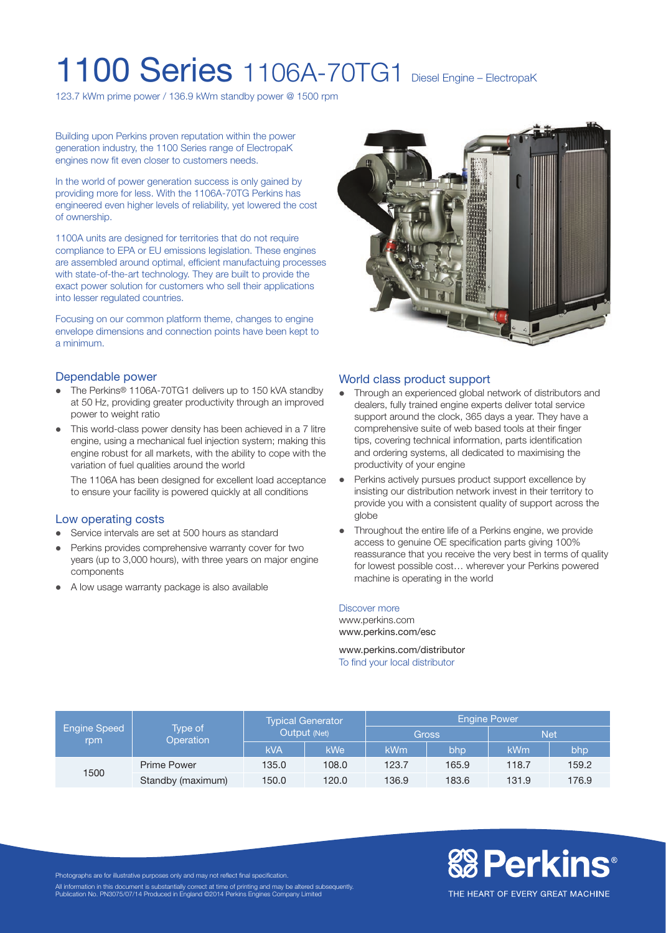# 1100 Series 1106A-70TG1 Diesel Engine – ElectropaK

123.7 kWm prime power / 136.9 kWm standby power @ 1500 rpm

Building upon Perkins proven reputation within the power generation industry, the 1100 Series range of ElectropaK engines now fit even closer to customers needs.

In the world of power generation success is only gained by providing more for less. With the 1106A-70TG Perkins has engineered even higher levels of reliability, yet lowered the cost of ownership.

1100A units are designed for territories that do not require compliance to EPA or EU emissions legislation. These engines are assembled around optimal, efficient manufactuing processes with state-of-the-art technology. They are built to provide the exact power solution for customers who sell their applications into lesser regulated countries.

Focusing on our common platform theme, changes to engine envelope dimensions and connection points have been kept to a minimum.



- The Perkins® 1106A-70TG1 delivers up to 150 kVA standby at 50 Hz, providing greater productivity through an improved power to weight ratio
- This world-class power density has been achieved in a 7 litre engine, using a mechanical fuel injection system; making this engine robust for all markets, with the ability to cope with the variation of fuel qualities around the world

The 1106A has been designed for excellent load acceptance to ensure your facility is powered quickly at all conditions

### Low operating costs

- Service intervals are set at 500 hours as standard
- Perkins provides comprehensive warranty cover for two years (up to 3,000 hours), with three years on major engine components
- A low usage warranty package is also available



### World class product support

- Through an experienced global network of distributors and dealers, fully trained engine experts deliver total service support around the clock, 365 days a year. They have a comprehensive suite of web based tools at their finger tips, covering technical information, parts identification and ordering systems, all dedicated to maximising the productivity of your engine
- Perkins actively pursues product support excellence by insisting our distribution network invest in their territory to provide you with a consistent quality of support across the globe
- Throughout the entire life of a Perkins engine, we provide access to genuine OE specification parts giving 100% reassurance that you receive the very best in terms of quality for lowest possible cost… wherever your Perkins powered machine is operating in the world

#### Discover more

www.perkins.com www.perkins.com/esc

www.perkins.com/distributor To find your local distributor

| <b>Engine Speed</b><br>rpm | Type of<br><b>Operation</b> | <b>Typical Generator</b><br>Output (Net) |            | <b>Engine Power</b> |       |            |       |
|----------------------------|-----------------------------|------------------------------------------|------------|---------------------|-------|------------|-------|
|                            |                             |                                          |            | <b>Gross</b>        |       | <b>Net</b> |       |
|                            |                             | <b>kVA</b>                               | <b>kWe</b> | <b>kWm</b>          | bhp   | kWm        | bhp   |
| 1500                       | <b>Prime Power</b>          | 135.0                                    | 108.0      | 123.7               | 165.9 | 118.7      | 159.2 |
|                            | Standby (maximum)           | 150.0                                    | 120.0      | 136.9               | 183.6 | 131.9      | 176.9 |

Photographs are for illustrative purposes only and may not reflect final specification.

All information in this document is substantially correct at time of printing and may be altered subsequently. Publication No. PN3075/07/14 Produced in England ©2014 Perkins Engines Company Limited

THE HEART OF EVERY GREAT MACHINE

**& Perkins**